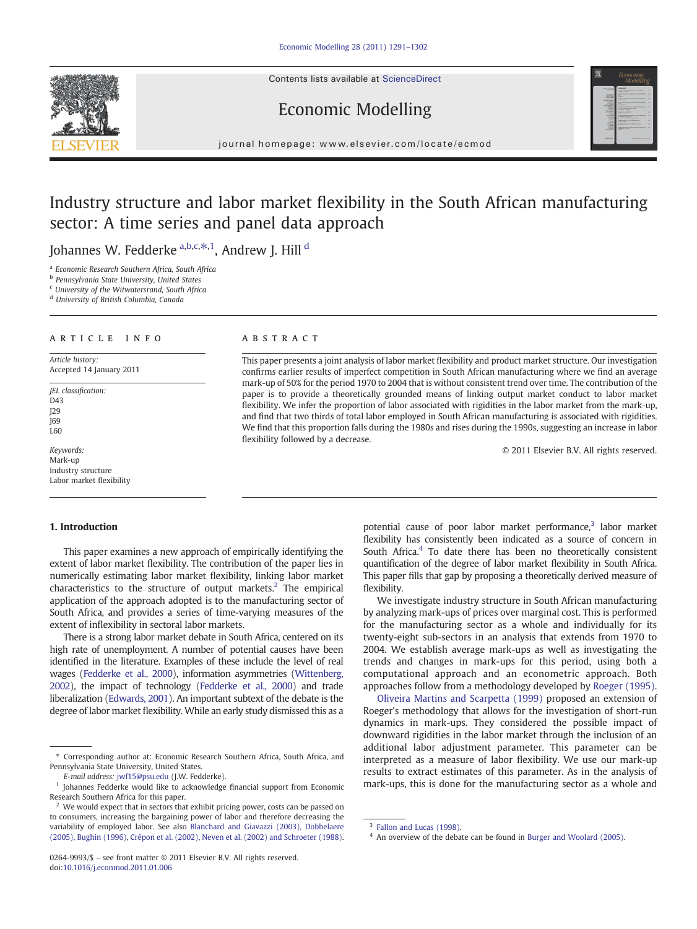Contents lists available at [ScienceDirect](http://www.sciencedirect.com/science/journal/02649993)



Economic Modelling journal homepage: www.elsevier.com/locate/ecmod

## Industry structure and labor market flexibility in the South African manufacturing sector: A time series and panel data approach

Johannes W. Fedderke <sup>a,b,c, $\ast,$ 1, Andrew J. Hill <sup>d</sup></sup>

<sup>a</sup> Economic Research Southern Africa, South Africa

<sup>b</sup> Pennsylvania State University, United States

<sup>c</sup> University of the Witwatersrand, South Africa

<sup>d</sup> University of British Columbia, Canada

### article info abstract

Article history: Accepted 14 January 2011

JEL classification:  $D43$ J29 J69 L60

Keywords: Mark-up Industry structure Labor market flexibility

### 1. Introduction

This paper examines a new approach of empirically identifying the extent of labor market flexibility. The contribution of the paper lies in numerically estimating labor market flexibility, linking labor market characteristics to the structure of output markets.<sup>2</sup> The empirical application of the approach adopted is to the manufacturing sector of South Africa, and provides a series of time-varying measures of the extent of inflexibility in sectoral labor markets.

There is a strong labor market debate in South Africa, centered on its high rate of unemployment. A number of potential causes have been identified in the literature. Examples of these include the level of real wages [\(Fedderke et al., 2000](#page--1-0)), information asymmetries [\(Wittenberg,](#page--1-0) [2002\)](#page--1-0), the impact of technology [\(Fedderke et al., 2000\)](#page--1-0) and trade liberalization [\(Edwards, 2001](#page--1-0)). An important subtext of the debate is the degree of labor market flexibility. While an early study dismissed this as a

0264-9993/\$ – see front matter © 2011 Elsevier B.V. All rights reserved. doi:[10.1016/j.econmod.2011.01.006](http://dx.doi.org/10.1016/j.econmod.2011.01.006)

This paper presents a joint analysis of labor market flexibility and product market structure. Our investigation confirms earlier results of imperfect competition in South African manufacturing where we find an average mark-up of 50% for the period 1970 to 2004 that is without consistent trend over time. The contribution of the paper is to provide a theoretically grounded means of linking output market conduct to labor market flexibility. We infer the proportion of labor associated with rigidities in the labor market from the mark-up, and find that two thirds of total labor employed in South African manufacturing is associated with rigidities. We find that this proportion falls during the 1980s and rises during the 1990s, suggesting an increase in labor flexibility followed by a decrease.

© 2011 Elsevier B.V. All rights reserved.

potential cause of poor labor market performance, $3$  labor market flexibility has consistently been indicated as a source of concern in South Africa.<sup>4</sup> To date there has been no theoretically consistent quantification of the degree of labor market flexibility in South Africa. This paper fills that gap by proposing a theoretically derived measure of flexibility.

We investigate industry structure in South African manufacturing by analyzing mark-ups of prices over marginal cost. This is performed for the manufacturing sector as a whole and individually for its twenty-eight sub-sectors in an analysis that extends from 1970 to 2004. We establish average mark-ups as well as investigating the trends and changes in mark-ups for this period, using both a computational approach and an econometric approach. Both approaches follow from a methodology developed by [Roeger \(1995\).](#page--1-0)

[Oliveira Martins and Scarpetta \(1999\)](#page--1-0) proposed an extension of Roeger's methodology that allows for the investigation of short-run dynamics in mark-ups. They considered the possible impact of downward rigidities in the labor market through the inclusion of an additional labor adjustment parameter. This parameter can be interpreted as a measure of labor flexibility. We use our mark-up results to extract estimates of this parameter. As in the analysis of mark-ups, this is done for the manufacturing sector as a whole and

<sup>⁎</sup> Corresponding author at: Economic Research Southern Africa, South Africa, and Pennsylvania State University, United States.

E-mail address: [jwf15@psu.edu](mailto:jwf15@psu.edu) (J.W. Fedderke).

<sup>1</sup> Johannes Fedderke would like to acknowledge financial support from Economic Research Southern Africa for this paper.

 $2$  We would expect that in sectors that exhibit pricing power, costs can be passed on to consumers, increasing the bargaining power of labor and therefore decreasing the variability of employed labor. See also [Blanchard and Giavazzi \(2003\), Dobbelaere](#page--1-0) [\(2005\), Bughin \(1996\)](#page--1-0), [Crépon et al. \(2002\),](#page--1-0) [Neven et al. \(2002\) and Schroeter \(1988\).](#page--1-0)

[Fallon and Lucas \(1998\)](#page--1-0).

An overview of the debate can be found in [Burger and Woolard \(2005\)](#page--1-0).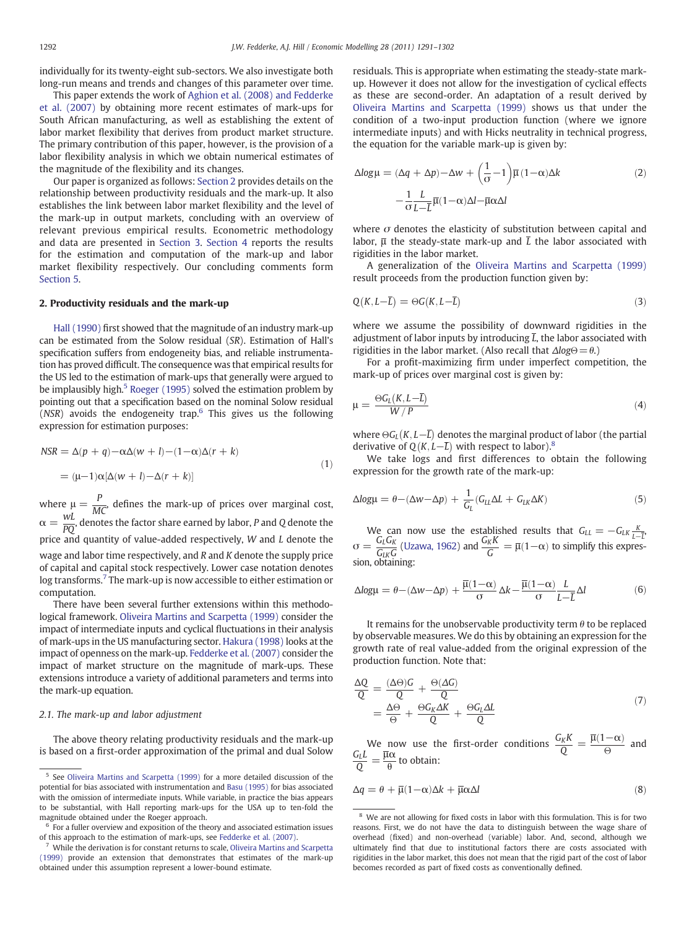individually for its twenty-eight sub-sectors. We also investigate both long-run means and trends and changes of this parameter over time.

This paper extends the work of [Aghion et al. \(2008\) and Fedderke](#page--1-0) [et al. \(2007\)](#page--1-0) by obtaining more recent estimates of mark-ups for South African manufacturing, as well as establishing the extent of labor market flexibility that derives from product market structure. The primary contribution of this paper, however, is the provision of a labor flexibility analysis in which we obtain numerical estimates of the magnitude of the flexibility and its changes.

Our paper is organized as follows: Section 2 provides details on the relationship between productivity residuals and the mark-up. It also establishes the link between labor market flexibility and the level of the mark-up in output markets, concluding with an overview of relevant previous empirical results. Econometric methodology and data are presented in [Section 3](#page--1-0). [Section 4](#page--1-0) reports the results for the estimation and computation of the mark-up and labor market flexibility respectively. Our concluding comments form [Section 5](#page--1-0).

### 2. Productivity residuals and the mark-up

[Hall \(1990\)](#page--1-0) first showed that the magnitude of an industry mark-up can be estimated from the Solow residual (SR). Estimation of Hall's specification suffers from endogeneity bias, and reliable instrumentation has proved difficult. The consequence was that empirical results for the US led to the estimation of mark-ups that generally were argued to be implausibly high.<sup>5</sup> [Roeger \(1995\)](#page--1-0) solved the estimation problem by pointing out that a specification based on the nominal Solow residual (NSR) avoids the endogeneity trap.6 This gives us the following expression for estimation purposes:

$$
NSR = \Delta(p+q) - \alpha \Delta(w+l) - (1-\alpha)\Delta(r+k)
$$
  
= 
$$
(\mu-1)\alpha[\Delta(w+l) - \Delta(r+k)]
$$
 (1)

where  $\mu = \frac{P}{MC}$ , defines the mark-up of prices over marginal cost,  $\alpha = \frac{WL}{PQ}$ , denotes the factor share earned by labor, P and Q denote the price and quantity of value-added respectively, W and L denote the wage and labor time respectively, and  $R$  and  $K$  denote the supply price of capital and capital stock respectively. Lower case notation denotes log transforms.<sup>7</sup> The mark-up is now accessible to either estimation or computation.

There have been several further extensions within this methodological framework. [Oliveira Martins and Scarpetta \(1999\)](#page--1-0) consider the impact of intermediate inputs and cyclical fluctuations in their analysis of mark-ups in the US manufacturing sector. [Hakura \(1998\)](#page--1-0) looks at the impact of openness on the mark-up. [Fedderke et al. \(2007\)](#page--1-0) consider the impact of market structure on the magnitude of mark-ups. These extensions introduce a variety of additional parameters and terms into the mark-up equation.

### 2.1. The mark-up and labor adjustment

The above theory relating productivity residuals and the mark-up is based on a first-order approximation of the primal and dual Solow residuals. This is appropriate when estimating the steady-state markup. However it does not allow for the investigation of cyclical effects as these are second-order. An adaptation of a result derived by [Oliveira Martins and Scarpetta \(1999\)](#page--1-0) shows us that under the condition of a two-input production function (where we ignore intermediate inputs) and with Hicks neutrality in technical progress, the equation for the variable mark-up is given by:

$$
\Delta log \mu = (\Delta q + \Delta p) - \Delta w + \left(\frac{1}{\sigma} - 1\right) \overline{\mu} (1 - \alpha) \Delta k
$$
  

$$
- \frac{1}{\sigma} \frac{L}{L - \overline{L}} \overline{\mu} (1 - \alpha) \Delta l - \overline{\mu} \alpha \Delta l
$$
 (2)

where  $\sigma$  denotes the elasticity of substitution between capital and labor,  $\overline{\mu}$  the steady-state mark-up and  $\overline{L}$  the labor associated with rigidities in the labor market.

A generalization of the [Oliveira Martins and Scarpetta \(1999\)](#page--1-0) result proceeds from the production function given by:

$$
Q(K, L-L) = \Theta G(K, L-L) \tag{3}
$$

where we assume the possibility of downward rigidities in the adjustment of labor inputs by introducing  $\overline{L}$ , the labor associated with rigidities in the labor market. (Also recall that  $\Delta log\Theta = \theta$ .)

For a profit-maximizing firm under imperfect competition, the mark-up of prices over marginal cost is given by:

$$
\mu = \frac{\Theta G_L(K, L - \bar{L})}{W / P} \tag{4}
$$

where  $\Theta G_L(K, L-\overline{L})$  denotes the marginal product of labor (the partial derivative of Q(K,  $\overline{L}-\overline{L}$ ) with respect to labor).<sup>8</sup>

We take logs and first differences to obtain the following expression for the growth rate of the mark-up:

$$
\Delta log\mu = \theta - (\Delta w - \Delta p) + \frac{1}{G_L}(G_{LL}\Delta L + G_{LK}\Delta K)
$$
\n(5)

We can now use the established results that  $G_{LL} = -G_{LK} \frac{K}{L-\overline{L}}$ <br>  $\sigma = \frac{G_L G_K}{G_{LK} G}$  [\(Uzawa, 1962](#page--1-0)) and  $\frac{G_K K}{G} = \overline{\mu}(1-\alpha)$  to simplify this expression, obtaining:

$$
\Delta log \mu = \theta - (\Delta w - \Delta p) + \frac{\overline{\mu}(1-\alpha)}{\sigma} \Delta k - \frac{\overline{\mu}(1-\alpha)}{\sigma} \frac{L}{L - \overline{L}} \Delta l \tag{6}
$$

It remains for the unobservable productivity term  $\theta$  to be replaced by observable measures. We do this by obtaining an expression for the growth rate of real value-added from the original expression of the production function. Note that:

$$
\frac{\Delta Q}{Q} = \frac{(\Delta \Theta)G}{Q} + \frac{\Theta(\Delta G)}{Q} \n= \frac{\Delta \Theta}{\Theta} + \frac{\Theta G_K \Delta K}{Q} + \frac{\Theta G_L \Delta L}{Q}
$$
\n(7)

We now use the first-order conditions  $\frac{G_K K}{Q} = \frac{\overline{\mu}(1-\alpha)}{\Theta}$  and  $\frac{G_L L}{Q} = \frac{\overline{\mu}\alpha}{\Theta}$  to obtain:

$$
\Delta q = \theta + \overline{\mu}(1-\alpha)\Delta k + \overline{\mu}\alpha\Delta l \tag{8}
$$

<sup>5</sup> See [Oliveira Martins and Scarpetta \(1999\)](#page--1-0) for a more detailed discussion of the potential for bias associated with instrumentation and [Basu \(1995\)](#page--1-0) for bias associated with the omission of intermediate inputs. While variable, in practice the bias appears to be substantial, with Hall reporting mark-ups for the USA up to ten-fold the magnitude obtained under the Roeger approach.

<sup>6</sup> For a fuller overview and exposition of the theory and associated estimation issues of this approach to the estimation of mark-ups, see [Fedderke et al. \(2007\)](#page--1-0).

<sup>7</sup> While the derivation is for constant returns to scale, [Oliveira Martins and Scarpetta](#page--1-0) [\(1999\)](#page--1-0) provide an extension that demonstrates that estimates of the mark-up obtained under this assumption represent a lower-bound estimate.

<sup>&</sup>lt;sup>8</sup> We are not allowing for fixed costs in labor with this formulation. This is for two reasons. First, we do not have the data to distinguish between the wage share of overhead (fixed) and non-overhead (variable) labor. And, second, although we ultimately find that due to institutional factors there are costs associated with rigidities in the labor market, this does not mean that the rigid part of the cost of labor becomes recorded as part of fixed costs as conventionally defined.